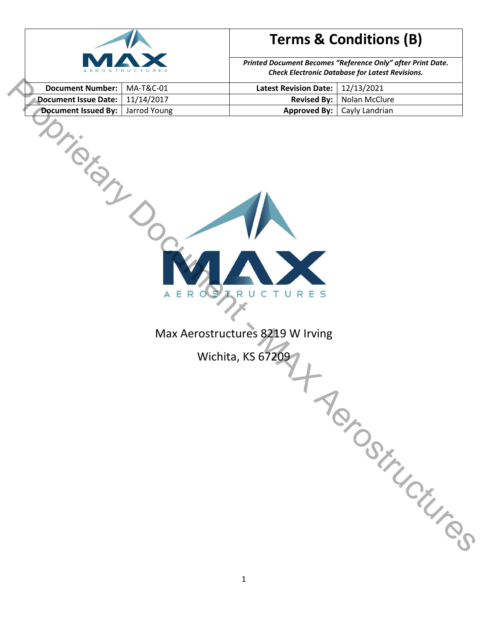

*Printed Document Becomes "Reference Only" after Print Date. Check Electronic Database for Latest Revisions.*

| Document Number:   MA-T&C-01       | Latest Revision Date:   12/13/2021 |                                      |
|------------------------------------|------------------------------------|--------------------------------------|
| Document Issue Date:   11/14/2017  |                                    | <b>Revised By:</b>   Nolan McClure   |
| Document Issued By:   Jarrod Young |                                    | <b>Approved By:</b>   Cayly Landrian |



Max Aerostructures 8219 W Irving

Wichita, KS 67209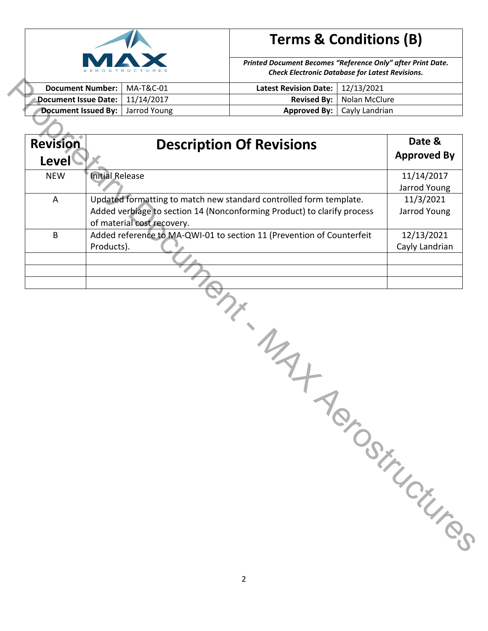

*Printed Document Becomes "Reference Only" after Print Date. Check Electronic Database for Latest Revisions.*

| Document Number:   MA-T&C-01       | Latest Revision Date: $\vert$ 12/13/2021 |                                      |
|------------------------------------|------------------------------------------|--------------------------------------|
| Document Issue Date:   11/14/2017  |                                          | <b>Revised By:</b>   Nolan McClure   |
| Document Issued By:   Jarrod Young |                                          | <b>Approved By:</b>   Cayly Landrian |

| <b>Document Issue Date:</b> |                        | 11/14/2017                 | <b>Revised By:</b>                                                      | 12/13/2021<br>Nolan McClure |                    |
|-----------------------------|------------------------|----------------------------|-------------------------------------------------------------------------|-----------------------------|--------------------|
| Document Issued By:         |                        | Jarrod Young               | <b>Approved By:</b>                                                     | Cayly Landrian              |                    |
|                             |                        |                            |                                                                         |                             |                    |
| <b>Revision</b>             |                        |                            | <b>Description Of Revisions</b>                                         |                             | Date &             |
| <b>Level</b>                |                        |                            |                                                                         |                             | <b>Approved By</b> |
| <b>NEW</b>                  | <b>Initial Release</b> |                            |                                                                         |                             | 11/14/2017         |
|                             |                        |                            |                                                                         |                             | Jarrod Young       |
| A                           |                        |                            | Updated formatting to match new standard controlled form template.      |                             | 11/3/2021          |
|                             |                        |                            | Added verbiage to section 14 (Nonconforming Product) to clarify process |                             | Jarrod Young       |
|                             |                        | of material cost recovery. |                                                                         |                             |                    |
| B                           |                        |                            | Added reference to MA-QWI-01 to section 11 (Prevention of Counterfeit   |                             | 12/13/2021         |
|                             | Products).             |                            |                                                                         |                             | Cayly Landrian     |
|                             |                        |                            |                                                                         |                             |                    |
|                             |                        |                            |                                                                         |                             |                    |
|                             |                        |                            |                                                                         |                             |                    |
|                             |                        |                            |                                                                         |                             |                    |
|                             |                        |                            | $\frac{1}{2}$                                                           |                             | TOSiTUCK TOS.      |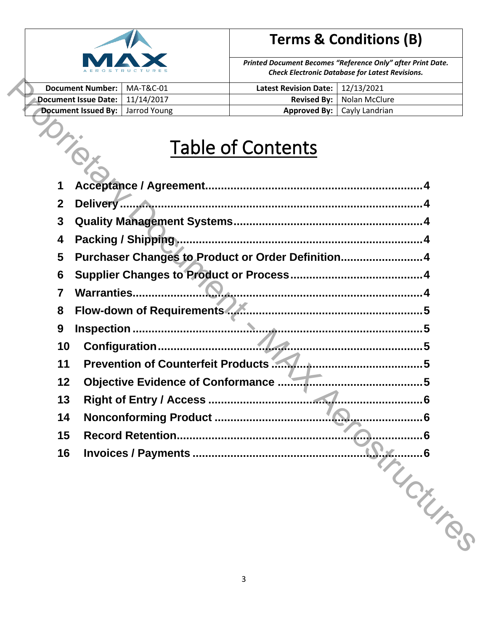

*Printed Document Becomes "Reference Only" after Print Date. Check Electronic Database for Latest Revisions.*

| Document Number:   MA-T&C-01              | Latest Revision Date: $\vert$ 12/13/2021 |                                      |
|-------------------------------------------|------------------------------------------|--------------------------------------|
| Document Issue Date:   11/14/2017         |                                          | <b>Revised By:</b>   Nolan McClure   |
| <b>Document Issued By:</b>   Jarrod Young |                                          | <b>Approved By:</b>   Cayly Landrian |

# Table of Contents

|                                | <b>Document Number:</b><br><b>Document Issue Date:</b> | MA-T&C-01<br>11/14/2017                            | <b>Latest Revision Date:</b><br><b>Revised By:</b> | 12/13/2021<br>Nolan McClure          |  |  |
|--------------------------------|--------------------------------------------------------|----------------------------------------------------|----------------------------------------------------|--------------------------------------|--|--|
|                                | <b>Document Issued By:</b>                             | Jarrod Young                                       |                                                    | <b>Approved By:</b>   Cayly Landrian |  |  |
|                                |                                                        |                                                    | <b>Table of Contents</b>                           |                                      |  |  |
| 1                              |                                                        |                                                    |                                                    |                                      |  |  |
| $\mathbf{2}$                   |                                                        |                                                    |                                                    |                                      |  |  |
| $\mathbf{3}$                   |                                                        |                                                    |                                                    |                                      |  |  |
| 4                              |                                                        |                                                    |                                                    |                                      |  |  |
| 5                              |                                                        | Purchaser Changes to Product or Order Definition 4 |                                                    |                                      |  |  |
| 6                              |                                                        |                                                    |                                                    |                                      |  |  |
| 7                              | <b>Warranties</b>                                      |                                                    |                                                    |                                      |  |  |
| Flow-down of Requirements<br>8 |                                                        |                                                    |                                                    |                                      |  |  |
| 9                              |                                                        |                                                    |                                                    | 5                                    |  |  |
| 10<br>11                       |                                                        |                                                    |                                                    |                                      |  |  |
| 12                             |                                                        | <b>Objective Evidence of Conformance </b>          |                                                    | 5                                    |  |  |
| 13                             |                                                        |                                                    |                                                    |                                      |  |  |
| 14                             |                                                        | Nonconforming Product                              |                                                    |                                      |  |  |
| 15                             |                                                        | <b>Record Retention</b>                            |                                                    | R                                    |  |  |
| 16                             |                                                        |                                                    |                                                    |                                      |  |  |
|                                |                                                        |                                                    |                                                    | NUCKURS.                             |  |  |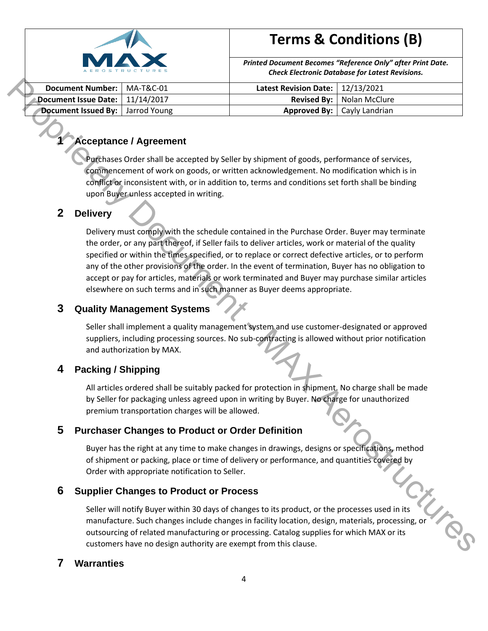

*Printed Document Becomes "Reference Only" after Print Date. Check Electronic Database for Latest Revisions.*

| Document Number:   MA-T&C-01       | Latest Revision Date: $\vert$ 12/13/2021 |                                      |
|------------------------------------|------------------------------------------|--------------------------------------|
| Document Issue Date:   11/14/2017  |                                          | <b>Revised By:</b>   Nolan McClure   |
| Document Issued By:   Jarrod Young |                                          | <b>Approved By:</b>   Cayly Landrian |

## <span id="page-3-0"></span>**1 Acceptance / Agreement**

Purchases Order shall be accepted by Seller by shipment of goods, performance of services, commencement of work on goods, or written acknowledgement. No modification which is in conflict or inconsistent with, or in addition to, terms and conditions set forth shall be binding upon Buyer unless accepted in writing.

### <span id="page-3-1"></span>**2 Delivery**

Delivery must comply with the schedule contained in the Purchase Order. Buyer may terminate the order, or any part thereof, if Seller fails to deliver articles, work or material of the quality specified or within the times specified, or to replace or correct defective articles, or to perform any of the other provisions of the order. In the event of termination, Buyer has no obligation to accept or pay for articles, materials or work terminated and Buyer may purchase similar articles elsewhere on such terms and in such manner as Buyer deems appropriate. Proprietary Document - MAX Aerostructures

### <span id="page-3-2"></span>**3 Quality Management Systems**

Seller shall implement a quality management system and use customer-designated or approved suppliers, including processing sources. No sub-contracting is allowed without prior notification and authorization by MAX.

### <span id="page-3-3"></span>**4 Packing / Shipping**

All articles ordered shall be suitably packed for protection in shipment. No charge shall be made by Seller for packaging unless agreed upon in writing by Buyer. No charge for unauthorized premium transportation charges will be allowed.

### <span id="page-3-4"></span>**5 Purchaser Changes to Product or Order Definition**

Buyer has the right at any time to make changes in drawings, designs or specifications, method of shipment or packing, place or time of delivery or performance, and quantities covered by Order with appropriate notification to Seller.

### <span id="page-3-5"></span>**6 Supplier Changes to Product or Process**

Order with series to Product or Process<br>Seller will notify Buyer within 30 days of changes to its product, or the processes used in its<br>Seller will notify Buyer within 30 days of changes to its product, or the processes us manufacture. Such changes include changes in facility location, design, materials, processing, or outsourcing of related manufacturing or processing. Catalog supplies for which MAX or its customers have no design authority are exempt from this clause.

#### <span id="page-3-6"></span>**7 Warranties**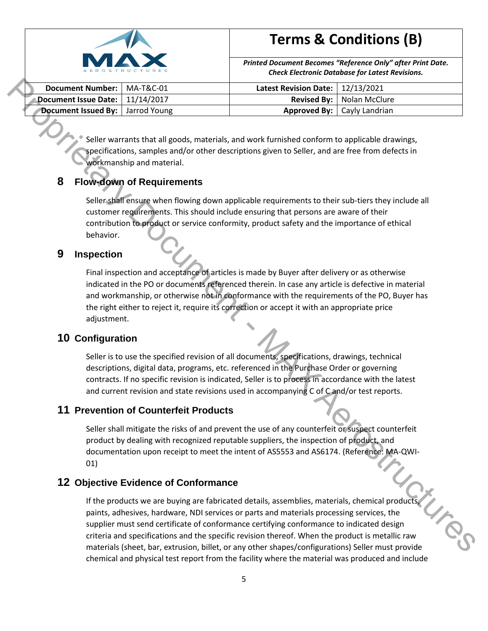

*Printed Document Becomes "Reference Only" after Print Date. Check Electronic Database for Latest Revisions.*

| Document Number:   MA-T&C-01              | Latest Revision Date: $\vert$ 12/13/2021 |                                      |
|-------------------------------------------|------------------------------------------|--------------------------------------|
| Document Issue Date:   11/14/2017         |                                          | <b>Revised By:</b>   Nolan McClure   |
| <b>Document Issued By:</b>   Jarrod Young |                                          | <b>Approved By:</b>   Cayly Landrian |

Seller warrants that all goods, materials, and work furnished conform to applicable drawings, specifications, samples and/or other descriptions given to Seller, and are free from defects in workmanship and material.

### <span id="page-4-0"></span>**8 Flow-down of Requirements**

Seller shall ensure when flowing down applicable requirements to their sub-tiers they include all customer requirements. This should include ensuring that persons are aware of their contribution to product or service conformity, product safety and the importance of ethical behavior.

#### <span id="page-4-1"></span>**9 Inspection**

Final inspection and acceptance of articles is made by Buyer after delivery or as otherwise indicated in the PO or documents referenced therein. In case any article is defective in material and workmanship, or otherwise not in conformance with the requirements of the PO, Buyer has the right either to reject it, require its correction or accept it with an appropriate price adjustment. **Example Number:** [Axis Referred Revision of all document  $\frac{1}{2}$  and  $\frac{1}{2}$  and  $\frac{1}{2}$  and  $\frac{1}{2}$  and  $\frac{1}{2}$  and  $\frac{1}{2}$  and  $\frac{1}{2}$  and  $\frac{1}{2}$  and  $\frac{1}{2}$  and  $\frac{1}{2}$  and  $\frac{1}{2}$  and  $\frac{1}{2}$ 

### <span id="page-4-2"></span>**10 Configuration**

Seller is to use the specified revision of all documents, specifications, drawings, technical descriptions, digital data, programs, etc. referenced in the Purchase Order or governing contracts. If no specific revision is indicated, Seller is to process in accordance with the latest and current revision and state revisions used in accompanying C of C and/or test reports.

#### <span id="page-4-3"></span>**11 Prevention of Counterfeit Products**

Seller shall mitigate the risks of and prevent the use of any counterfeit or suspect counterfeit product by dealing with recognized reputable suppliers, the inspection of product, and documentation upon receipt to meet the intent of AS5553 and AS6174. (Reference: MA-QWI-01)

### <span id="page-4-4"></span>**12 Objective Evidence of Conformance**

If the products we are buying are fabricated details, assemblies, materials, chemical products, paints, adhesives, hardware, NDI services or parts and materials processing services, the supplier must send certificate of conformance certifying conformance to indicated design criteria and specifications and the specific revision thereof. When the product is metallic raw materials (sheet, bar, extrusion, billet, or any other shapes/configurations) Seller must provide chemical and physical test report from the facility where the material was produced and include